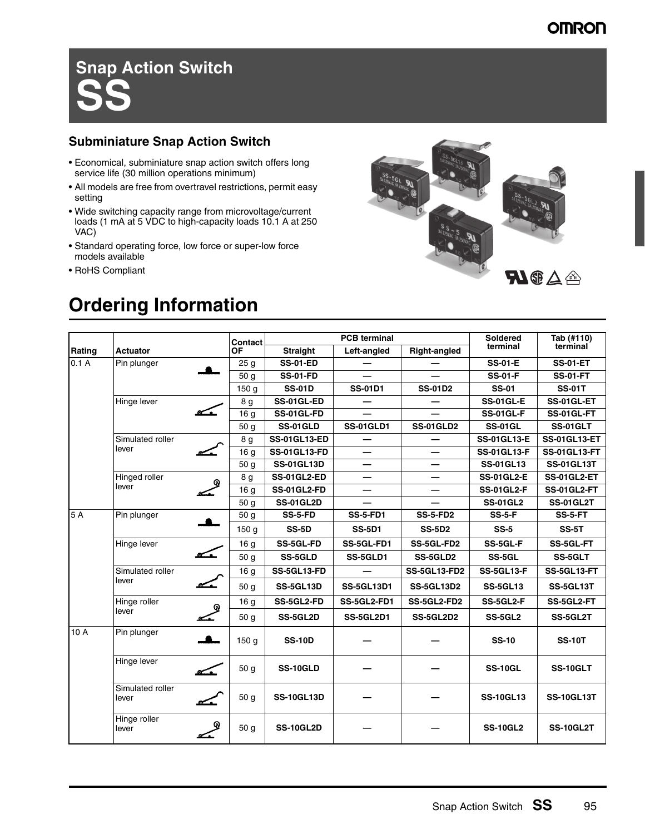# **Snap Action Switch SS**

### **Subminiature Snap Action Switch**

- Economical, subminiature snap action switch offers long service life (30 million operations minimum)
- All models are free from overtravel restrictions, permit easy setting
- Wide switching capacity range from microvoltage/current loads (1 mA at 5 VDC to high-capacity loads 10.1 A at 250 VAC)
- Standard operating force, low force or super-low force models available
- RoHS Compliant



## **Ordering Information**

|        |                               | Contact          | <b>PCB</b> terminal |                   |                          | <b>Soldered</b>    | Tab (#110)          |
|--------|-------------------------------|------------------|---------------------|-------------------|--------------------------|--------------------|---------------------|
| Rating | <b>Actuator</b>               | <b>OF</b>        | <b>Straight</b>     | Left-angled       | <b>Right-angled</b>      | terminal           | terminal            |
| 0.1A   | Pin plunger                   | 25 <sub>g</sub>  | <b>SS-01-ED</b>     |                   |                          | <b>SS-01-E</b>     | <b>SS-01-ET</b>     |
|        |                               | 50 g             | <b>SS-01-FD</b>     |                   |                          | <b>SS-01-F</b>     | <b>SS-01-FT</b>     |
|        |                               | 150 <sub>g</sub> | <b>SS-01D</b>       | <b>SS-01D1</b>    | <b>SS-01D2</b>           | <b>SS-01</b>       | <b>SS-01T</b>       |
|        | Hinge lever                   | 8 g              | SS-01GL-ED          |                   |                          | <b>SS-01GL-E</b>   | <b>SS-01GL-ET</b>   |
|        |                               | 16 <sub>g</sub>  | SS-01GL-FD          |                   |                          | <b>SS-01GL-F</b>   | SS-01GL-FT          |
|        |                               | 50 <sub>g</sub>  | <b>SS-01GLD</b>     | <b>SS-01GLD1</b>  | <b>SS-01GLD2</b>         | <b>SS-01GL</b>     | SS-01GLT            |
|        | Simulated roller              | 8 g              | <b>SS-01GL13-ED</b> |                   |                          | <b>SS-01GL13-E</b> | <b>SS-01GL13-ET</b> |
|        | lever                         | 16 <sub>g</sub>  | <b>SS-01GL13-FD</b> |                   |                          | <b>SS-01GL13-F</b> | <b>SS-01GL13-FT</b> |
|        |                               | 50 g             | <b>SS-01GL13D</b>   |                   |                          | <b>SS-01GL13</b>   | <b>SS-01GL13T</b>   |
|        | Hinged roller                 | 8 g<br>ଢ         | <b>SS-01GL2-ED</b>  |                   |                          | <b>SS-01GL2-E</b>  | <b>SS-01GL2-ET</b>  |
|        | lever                         | 16 g             | <b>SS-01GL2-FD</b>  |                   | $\overline{\phantom{0}}$ | <b>SS-01GL2-F</b>  | <b>SS-01GL2-FT</b>  |
|        |                               | 50 g             | <b>SS-01GL2D</b>    |                   |                          | <b>SS-01GL2</b>    | <b>SS-01GL2T</b>    |
| 5A     | Pin plunger                   | 50 <sub>q</sub>  | SS-5-FD             | <b>SS-5-FD1</b>   | <b>SS-5-FD2</b>          | <b>SS-5-F</b>      | SS-5-FT             |
|        |                               | 150q             | <b>SS-5D</b>        | <b>SS-5D1</b>     | <b>SS-5D2</b>            | $SS-5$             | <b>SS-5T</b>        |
|        | Hinge lever                   | 16 g             | <b>SS-5GL-FD</b>    | SS-5GL-FD1        | SS-5GL-FD2               | SS-5GL-F           | SS-5GL-FT           |
|        | $\sim$                        | 50 g             | <b>SS-5GLD</b>      | SS-5GLD1          | SS-5GLD2                 | SS-5GL             | SS-5GLT             |
|        | Simulated roller              | 16 <sub>g</sub>  | SS-5GL13-FD         |                   | <b>SS-5GL13-FD2</b>      | <b>SS-5GL13-F</b>  | SS-5GL13-FT         |
|        | lever<br><u> Contra</u>       | 50 <sub>q</sub>  | <b>SS-5GL13D</b>    | <b>SS-5GL13D1</b> | <b>SS-5GL13D2</b>        | <b>SS-5GL13</b>    | SS-5GL13T           |
|        | Hinge roller                  | 16 g<br>ଢ଼       | <b>SS-5GL2-FD</b>   | SS-5GL2-FD1       | SS-5GL2-FD2              | SS-5GL2-F          | SS-5GL2-FT          |
|        | lever                         | 50 g             | SS-5GL2D            | <b>SS-5GL2D1</b>  | <b>SS-5GL2D2</b>         | <b>SS-5GL2</b>     | SS-5GL2T            |
| 10 A   | Pin plunger<br>$\blacksquare$ | 150q             | <b>SS-10D</b>       |                   |                          | <b>SS-10</b>       | <b>SS-10T</b>       |
|        | Hinge lever                   | 50 g             | SS-10GLD            |                   |                          | <b>SS-10GL</b>     | SS-10GLT            |
|        | Simulated roller<br>lever     | 50 <sub>q</sub>  | <b>SS-10GL13D</b>   |                   |                          | <b>SS-10GL13</b>   | <b>SS-10GL13T</b>   |
|        | Hinge roller<br>lever         | 50 <sub>g</sub>  | <b>SS-10GL2D</b>    |                   |                          | <b>SS-10GL2</b>    | <b>SS-10GL2T</b>    |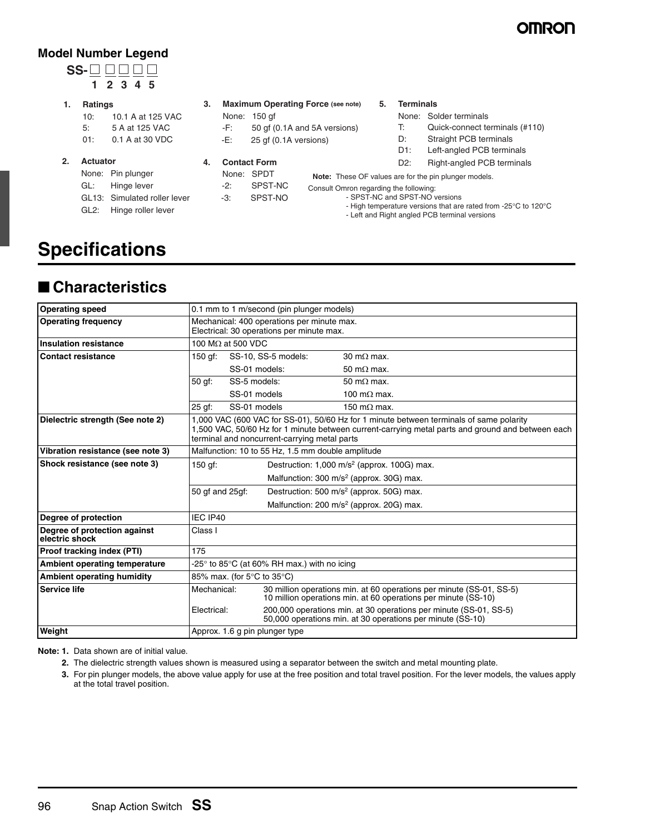## **OMRON**

### **Model Number Legend**

### **SS-1 2 3 4 5**

### **1. Ratings**

- 10: 10.1 A at 125 VAC 5: 5 A at 125 VAC
- 01: 0.1 A at 30 VDC
- **2. Actuator**
	- None: Pin plunger
	- GL: Hinge lever
	- GL13: Simulated roller lever
	- GL2: Hinge roller lever

| 3. |  |  | <b>Maximum Operating Force (see note)</b> |  |
|----|--|--|-------------------------------------------|--|
|    |  |  |                                           |  |

- None: 150 gf -F: 50 gf (0.1A and 5A versions)
- -E: 25 gf (0.1A versions)
- **4. Contact Form**
	- None: SPDT -2: SPST-NC -3: SPST-NO

#### **5. Terminals**

- None: Solder terminals
	- T: Quick-connect terminals (#110)
- D: Straight PCB terminals
- D1: Left-angled PCB terminals
- D2: Right-angled PCB terminals

**Note:** These OF values are for the pin plunger models.

Consult Omron regarding the following:

- SPST-NC and SPST-NO versions - High temperature versions that are rated from -25°C to 120°C
- Left and Right angled PCB terminal versions

## **Specifications**

## ■ **Characteristics**

| <b>Operating speed</b>                         | 0.1 mm to 1 m/second (pin plunger models)                                                                                                                                                                                                    |                          |                                                                                         |                                                                                                                                        |
|------------------------------------------------|----------------------------------------------------------------------------------------------------------------------------------------------------------------------------------------------------------------------------------------------|--------------------------|-----------------------------------------------------------------------------------------|----------------------------------------------------------------------------------------------------------------------------------------|
| <b>Operating frequency</b>                     |                                                                                                                                                                                                                                              |                          | Mechanical: 400 operations per minute max.<br>Electrical: 30 operations per minute max. |                                                                                                                                        |
| <b>Insulation resistance</b>                   |                                                                                                                                                                                                                                              | 100 $M\Omega$ at 500 VDC |                                                                                         |                                                                                                                                        |
| <b>Contact resistance</b>                      | 150 gf:                                                                                                                                                                                                                                      |                          | SS-10, SS-5 models:                                                                     | $30 \text{ m}\Omega$ max.                                                                                                              |
|                                                |                                                                                                                                                                                                                                              | SS-01 models:            |                                                                                         | 50 m $\Omega$ max.                                                                                                                     |
|                                                | 50 gf:                                                                                                                                                                                                                                       | SS-5 models:             |                                                                                         | 50 m $\Omega$ max.                                                                                                                     |
|                                                |                                                                                                                                                                                                                                              | SS-01 models             |                                                                                         | 100 m $\Omega$ max.                                                                                                                    |
|                                                | 25 gf:                                                                                                                                                                                                                                       | SS-01 models             |                                                                                         | 150 m $\Omega$ max.                                                                                                                    |
| Dielectric strength (See note 2)               | 1,000 VAC (600 VAC for SS-01), 50/60 Hz for 1 minute between terminals of same polarity<br>1,500 VAC, 50/60 Hz for 1 minute between current-carrying metal parts and ground and between each<br>terminal and noncurrent-carrying metal parts |                          |                                                                                         |                                                                                                                                        |
| Vibration resistance (see note 3)              | Malfunction: 10 to 55 Hz, 1.5 mm double amplitude                                                                                                                                                                                            |                          |                                                                                         |                                                                                                                                        |
| Shock resistance (see note 3)                  | $150$ gf:                                                                                                                                                                                                                                    |                          |                                                                                         | Destruction: 1,000 m/s <sup>2</sup> (approx. 100G) max.                                                                                |
|                                                |                                                                                                                                                                                                                                              |                          |                                                                                         | Malfunction: 300 m/s <sup>2</sup> (approx. 30G) max.                                                                                   |
|                                                | 50 qf and 25qf:                                                                                                                                                                                                                              |                          |                                                                                         | Destruction: 500 m/s <sup>2</sup> (approx. 50G) max.                                                                                   |
|                                                |                                                                                                                                                                                                                                              |                          |                                                                                         | Malfunction: 200 m/s <sup>2</sup> (approx. 20G) max.                                                                                   |
| Degree of protection                           | IEC IP40                                                                                                                                                                                                                                     |                          |                                                                                         |                                                                                                                                        |
| Degree of protection against<br>electric shock | Class I                                                                                                                                                                                                                                      |                          |                                                                                         |                                                                                                                                        |
| Proof tracking index (PTI)                     | 175                                                                                                                                                                                                                                          |                          |                                                                                         |                                                                                                                                        |
| Ambient operating temperature                  |                                                                                                                                                                                                                                              |                          | -25 $^{\circ}$ to 85 $^{\circ}$ C (at 60% RH max.) with no icing                        |                                                                                                                                        |
| <b>Ambient operating humidity</b>              | 85% max. (for 5°C to 35°C)                                                                                                                                                                                                                   |                          |                                                                                         |                                                                                                                                        |
| <b>Service life</b>                            | Mechanical:                                                                                                                                                                                                                                  |                          |                                                                                         | 30 million operations min. at 60 operations per minute (SS-01, SS-5)<br>10 million operations min. at 60 operations per minute (SS-10) |
|                                                | Electrical:                                                                                                                                                                                                                                  |                          |                                                                                         | 200,000 operations min. at 30 operations per minute (SS-01, SS-5)<br>50,000 operations min. at 30 operations per minute (SS-10)        |
| Weight                                         |                                                                                                                                                                                                                                              |                          | Approx. 1.6 g pin plunger type                                                          |                                                                                                                                        |

**Note: 1.** Data shown are of initial value.

- **2.** The dielectric strength values shown is measured using a separator between the switch and metal mounting plate.
- **3.** For pin plunger models, the above value apply for use at the free position and total travel position. For the lever models, the values apply at the total travel position.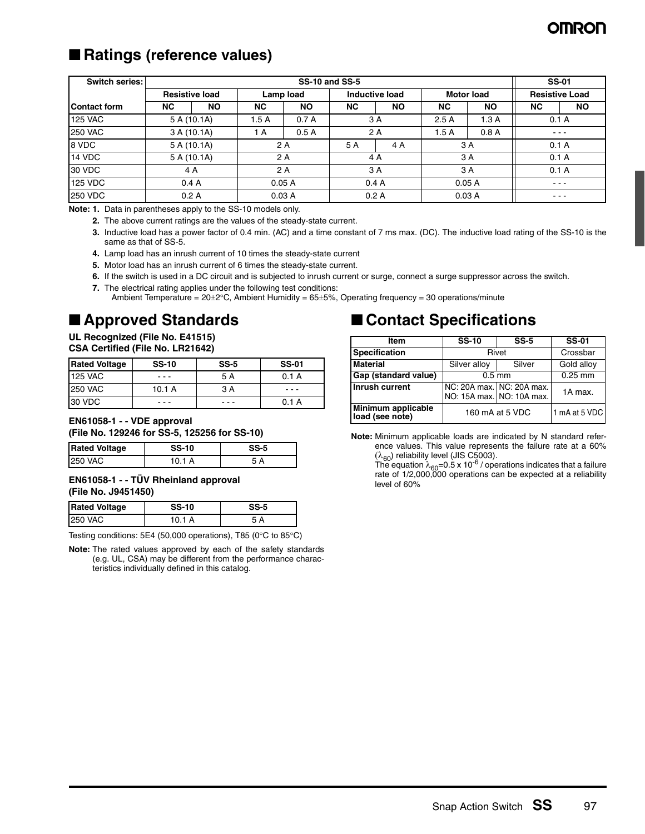## **OMRON**

## ■ Ratings (reference values)

| Switch series:      |     | <b>SS-10 and SS-5</b> |           |           |     |                |           |                   | <b>SS-01</b>  |                       |
|---------------------|-----|-----------------------|-----------|-----------|-----|----------------|-----------|-------------------|---------------|-----------------------|
|                     |     | <b>Resistive load</b> |           | Lamp load |     | Inductive load |           | <b>Motor load</b> |               | <b>Resistive Load</b> |
| <b>Contact form</b> | NC. | <b>NO</b>             | <b>NC</b> | <b>NO</b> | NC. | <b>NO</b>      | <b>NC</b> | <b>NO</b>         | <b>NC</b>     | <b>NO</b>             |
| <b>125 VAC</b>      |     | 5A(10.1A)             | 1.5A      | 0.7A      |     | 3 A            | 2.5A      | 1.3A              | 0.1A          |                       |
| <b>250 VAC</b>      |     | 3 A (10.1A)           | 1 A       | 0.5A      |     | 2 A            | 1.5A      | 0.8A              | $\frac{1}{2}$ |                       |
| 8 VDC               |     | 5 A (10.1A)           |           | 2 A       | 5 A | 4 A            |           | 3 A               | 0.1A          |                       |
| 14 VDC              |     | 5 A (10.1A)           |           | 2 A       |     | 4 A            |           | 3 A               | 0.1A          |                       |
| 30 VDC              |     | 4 A                   |           | 2 A       |     | 3 A            |           | 3 A               | 0.1A          |                       |
| <b>125 VDC</b>      |     | 0.4A                  |           | 0.05A     |     | 0.4A           |           | 0.05A             | $\cdots$      |                       |
| <b>250 VDC</b>      |     | 0.2A                  |           | 0.03A     |     | 0.2A           |           | 0.03A             | $\frac{1}{2}$ |                       |

**Note: 1.** Data in parentheses apply to the SS-10 models only.

- **2.** The above current ratings are the values of the steady-state current.
- **3.** Inductive load has a power factor of 0.4 min. (AC) and a time constant of 7 ms max. (DC). The inductive load rating of the SS-10 is the same as that of SS-5.
- **4.** Lamp load has an inrush current of 10 times the steady-state current
- **5.** Motor load has an inrush current of 6 times the steady-state current.
- **6.** If the switch is used in a DC circuit and is subjected to inrush current or surge, connect a surge suppressor across the switch.
- **7.** The electrical rating applies under the following test conditions:

Ambient Temperature =  $20\pm2^{\circ}$ C, Ambient Humidity =  $65\pm5%$ , Operating frequency = 30 operations/minute

## ■ **Approved Standards**

### **UL Recognized (File No. E41515)**

| <b>Rated Voltage</b> | <b>SS-10</b> | $SS-5$ | <b>SS-01</b> |
|----------------------|--------------|--------|--------------|
| <b>125 VAC</b>       |              | 5 A    | 0.1 A        |
| <b>250 VAC</b>       | 10.1A        | 3 A    |              |
| 30 VDC               |              |        | 0.1 A        |

**EN61058-1 - - VDE approval (File No. 129246 for SS-5, 125256 for SS-10)**

| <b>Rated Voltage</b> | <b>SS-10</b> | SS-5 |
|----------------------|--------------|------|
| <b>250 VAC</b>       | 10.1 A       | А    |

#### **EN61058-1 - - TÜV Rheinland approval (File No. J9451450)**

| <b>Rated Voltage</b> | <b>SS-10</b> | SS-5 |
|----------------------|--------------|------|
| <b>250 VAC</b>       | 10.1 A       |      |

Testing conditions: 5E4 (50,000 operations), T85 (0°C to 85°C)

**Note:** The rated values approved by each of the safety standards (e.g. UL, CSA) may be different from the performance characteristics individually defined in this catalog.

## ■ **Contact Specifications**

| <b>Item</b>                           | <b>SS-10</b>    | $SS-5$                                                 | <b>SS-01</b>  |
|---------------------------------------|-----------------|--------------------------------------------------------|---------------|
| <b>Specification</b>                  | Rivet           |                                                        | Crossbar      |
| <b>Material</b>                       | Silver alloy    | Silver                                                 | Gold alloy    |
| Gap (standard value)                  | $0.5$ mm        |                                                        | $0.25$ mm     |
| Inrush current                        |                 | NC: 20A max. NC: 20A max.<br>NO: 15A max. NO: 10A max. | 1A max.       |
| Minimum applicable<br>load (see note) | 160 mA at 5 VDC |                                                        | 1 mA at 5 VDC |

**Note:** Minimum applicable loads are indicated by N standard reference values. This value represents the failure rate at a 60%  $(\lambda_{60})$  reliability level (JIS C5003).

The equation  $\lambda_{60}$ =0.5 x 10<sup>-6</sup> / operations indicates that a failure rate of 1/2,000,000 operations can be expected at a reliability level of 60%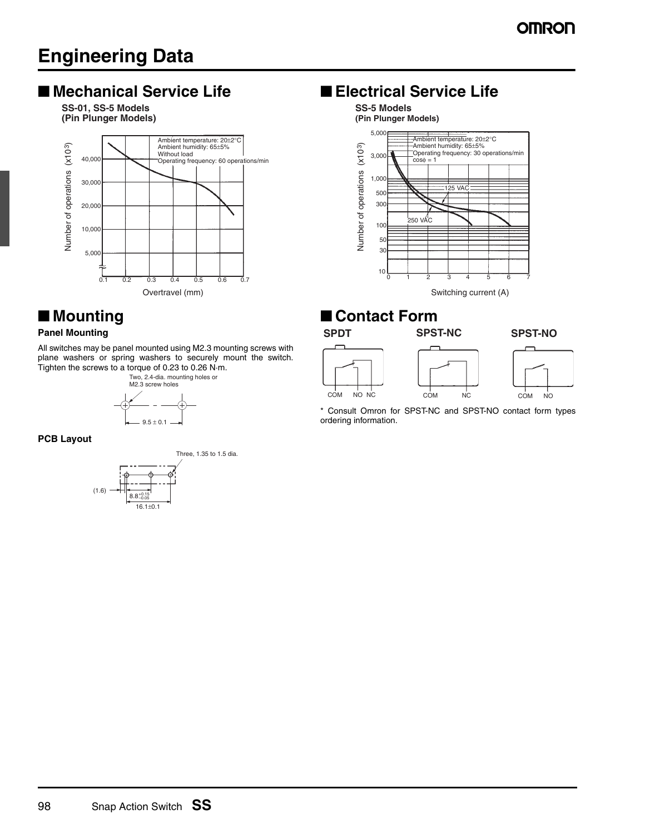## **Engineering Data**

## ■ Mechanical Service Life ■ **Electrical Service Life**

**(Pin Plunger Models) SS-01, SS-5 Models**



## ■ **Mounting**

### **Panel Mounting**

#### All switches may be panel mounted using M2.3 mounting screws with plane washers or spring washers to securely mount the switch. Tighten the screws to a torque of 0.23 to 0.26 N·m.

Two, 2.4-dia. mounting holes or M2.3 screw holes



**PCB Layout**



### **SS-5 Models**



### ■ **Contact Form**







\* Consult Omron for SPST-NC and SPST-NO contact form types ordering information.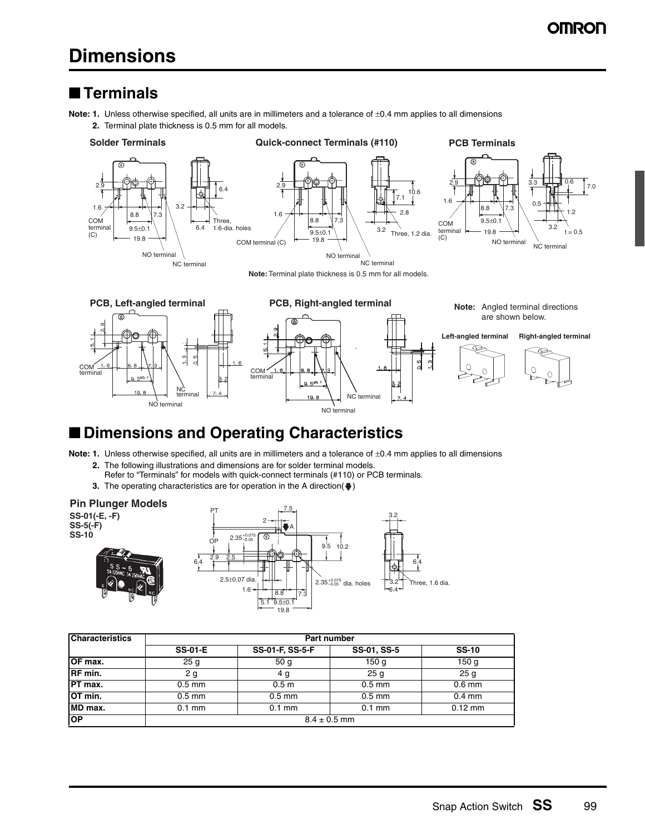## **Dimensions**

### ■ **Terminals**

**Note: 1.** Unless otherwise specified, all units are in millimeters and a tolerance of ±0.4 mm applies to all dimensions

**2.** Terminal plate thickness is 0.5 mm for all models.







**Note:** Terminal plate thickness is 0.5 mm for all models.



**PCB, Left-angled terminal PCB, Right-angled terminal Note:** Angled terminal directions **PCB, Right-angled terminal** are shown below. **Left-angled terminal Right-angled terminal**  $\frac{5}{1}$  $\frac{9}{1}$ COM terminal  $\bigcap$ COM terminal NC terminal NC terminal NO terminal NO terminal

## ■ **Dimensions and Operating Characteristics**

**Note: 1.** Unless otherwise specified, all units are in millimeters and a tolerance of  $\pm 0.4$  mm applies to all dimensions

- **2.** The following illustrations and dimensions are for solder terminal models.
	- Refer to "Terminals" for models with quick-connect terminals (#110) or PCB terminals.
- **3.** The operating characteristics are for operation in the A direction( $\blacklozenge$ )

### **Pin Plunger Models**

**SS-01(-E, -F) SS-5(-F) SS-10**





| <b>Characteristics</b> | Part number      |                  |                  |                  |  |  |
|------------------------|------------------|------------------|------------------|------------------|--|--|
|                        | <b>SS-01-E</b>   | SS-01-F, SS-5-F  | SS-01, SS-5      | <b>SS-10</b>     |  |  |
| OF max.                | 25 <sub>g</sub>  | 50 <sub>g</sub>  | 150 <sub>g</sub> | 150 <sub>g</sub> |  |  |
| <b>RF</b> min.         | 2 g              | 4 g              | 25 <sub>g</sub>  | 25 <sub>g</sub>  |  |  |
| $PT$ max.              | $0.5$ mm         | 0.5 <sub>m</sub> | $0.5$ mm         | $0.6$ mm         |  |  |
| OT min.                | $0.5$ mm         | $0.5$ mm         | $0.5$ mm         | $0.4$ mm         |  |  |
| MD max.                | $0.1$ mm         | $0.1$ mm         | $0.1$ mm         | $0.12$ mm        |  |  |
| <b>OP</b>              | $8.4 \pm 0.5$ mm |                  |                  |                  |  |  |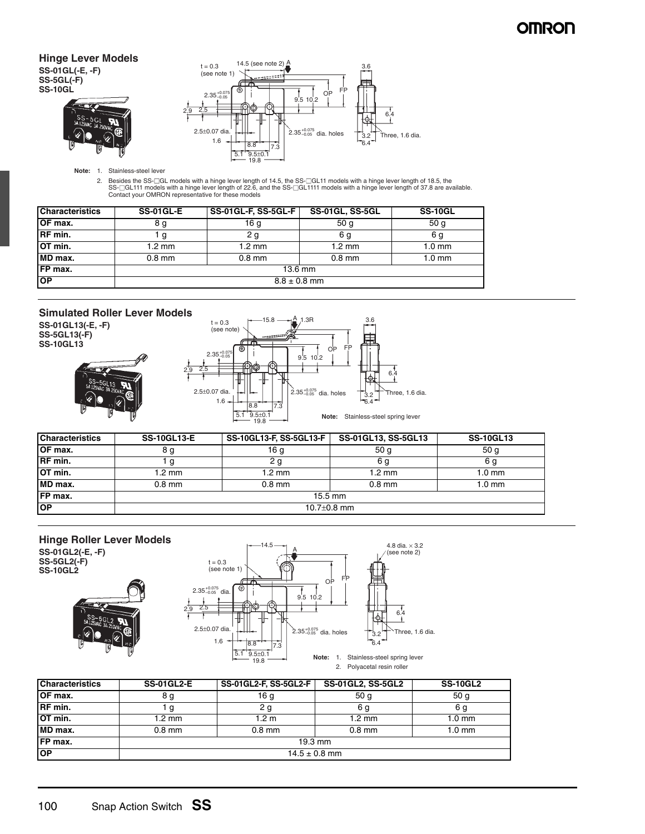### **OMRON**

### **Hinge Lever Models SS-01GL(-E, -F)**

**SS-5GL(-F)**





**Note:** 1. Stainless-steel lever

2. Besides the SS-⊡GL models with a hinge lever length of 14.5, the SS-⊡GL11 models with a hinge lever length of 18.5, the<br>SS-⊡GL111 models with a hinge lever length of 22.6, and the SS-⊡GL1111 models with a hinge lever l

| <b>Characteristics</b> | <b>SS-01GL-E</b> | <b>SS-01GL-F, SS-5GL-F</b> | <b>SS-01GL, SS-5GL</b> | <b>SS-10GL</b>   |  |  |
|------------------------|------------------|----------------------------|------------------------|------------------|--|--|
| <b>OF max.</b>         | 8 g              | 16 a                       | 50 <sub>g</sub>        | 50 <sub>g</sub>  |  |  |
| <b>IRF</b> min.        |                  | 2 g                        | 6 g                    | 6 g              |  |  |
| OT min.                | $1.2 \text{ mm}$ | $1.2 \text{ mm}$           | $1.2 \text{ mm}$       | $1.0 \text{ mm}$ |  |  |
| MD max.                | $0.8$ mm         | $0.8$ mm                   | $0.8$ mm               | $1.0 \text{ mm}$ |  |  |
| <b>IFP</b> max.        | 13.6 mm          |                            |                        |                  |  |  |
| <b>TOP</b>             | $8.8 \pm 0.8$ mm |                            |                        |                  |  |  |

### **Simulated Roller Lever Models**

**SS-01GL13(-E, -F) SS-5GL13(-F) SS-10GL13**



| <b>Characteristics</b> | <b>SS-10GL13-E</b> | SS-10GL13-F, SS-5GL13-F | SS-01GL13, SS-5GL13 | <b>SS-10GL13</b> |  |  |
|------------------------|--------------------|-------------------------|---------------------|------------------|--|--|
| <b>OF max.</b>         | 8 g                | 16 <sub>g</sub>         | 50 <sub>g</sub>     | 50 <sub>g</sub>  |  |  |
| RF min.                |                    | 2 <sub>q</sub>          | 6 g                 | 6 g              |  |  |
| OT min.                | $\sqrt{2}$ mm      | $1.2 \text{ mm}$        | $1.2 \text{ mm}$    | 1.0 mm           |  |  |
| MD max.                | $0.8$ mm           | $0.8$ mm                | $0.8$ mm            | 1.0 mm           |  |  |
| <b>IFP</b> max.        | $15.5 \text{ mm}$  |                         |                     |                  |  |  |
| <b>OP</b>              | 10.7 $\pm$ 0.8 mm  |                         |                     |                  |  |  |



| <b>Characteristics</b> | <b>SS-01GL2-E</b> | <b>SS-01GL2-F, SS-5GL2-F</b> | <b>SS-01GL2, SS-5GL2</b> | <b>SS-10GL2</b>  |
|------------------------|-------------------|------------------------------|--------------------------|------------------|
| OF max.                | 8 g               | 16 g                         | 50 <sub>q</sub>          | 50 <sub>g</sub>  |
| RF min.                |                   | 2 g                          | 6 g                      | 6 g              |
| OT min.                | 1.2 mm            | 1.2 m                        | $1.2 \text{ mm}$         | $1.0 \text{ mm}$ |
| MD max.                | $0.8$ mm          | $0.8$ mm                     | $0.8$ mm                 | $1.0 \text{ mm}$ |
| FP max.                | $19.3 \text{ mm}$ |                              |                          |                  |
| OP                     | $14.5 \pm 0.8$ mm |                              |                          |                  |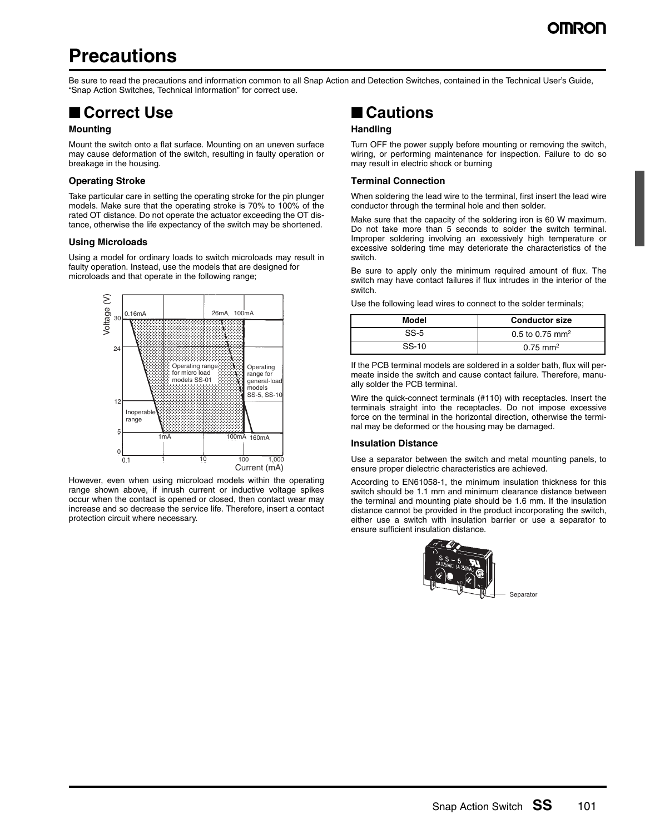## **Precautions**

Be sure to read the precautions and information common to all Snap Action and Detection Switches, contained in the Technical User's Guide, "Snap Action Switches, Technical Information" for correct use.

## ■ **Correct Use**

### **Mounting**

Mount the switch onto a flat surface. Mounting on an uneven surface may cause deformation of the switch, resulting in faulty operation or breakage in the housing.

#### **Operating Stroke**

Take particular care in setting the operating stroke for the pin plunger models. Make sure that the operating stroke is 70% to 100% of the rated OT distance. Do not operate the actuator exceeding the OT distance, otherwise the life expectancy of the switch may be shortened.

#### **Using Microloads**

Using a model for ordinary loads to switch microloads may result in faulty operation. Instead, use the models that are designed for microloads and that operate in the following range;



However, even when using microload models within the operating range shown above, if inrush current or inductive voltage spikes occur when the contact is opened or closed, then contact wear may increase and so decrease the service life. Therefore, insert a contact protection circuit where necessary.

## ■ **Cautions**

### **Handling**

Turn OFF the power supply before mounting or removing the switch, wiring, or performing maintenance for inspection. Failure to do so may result in electric shock or burning

### **Terminal Connection**

When soldering the lead wire to the terminal, first insert the lead wire conductor through the terminal hole and then solder.

Make sure that the capacity of the soldering iron is 60 W maximum. Do not take more than 5 seconds to solder the switch terminal. Improper soldering involving an excessively high temperature or excessive soldering time may deteriorate the characteristics of the switch.

Be sure to apply only the minimum required amount of flux. The switch may have contact failures if flux intrudes in the interior of the switch.

Use the following lead wires to connect to the solder terminals;

| Model | <b>Conductor size</b>       |  |  |
|-------|-----------------------------|--|--|
| SS-5  | 0.5 to 0.75 mm <sup>2</sup> |  |  |
| SS-10 | $0.75 \text{ mm}^2$         |  |  |

If the PCB terminal models are soldered in a solder bath, flux will permeate inside the switch and cause contact failure. Therefore, manually solder the PCB terminal.

Wire the quick-connect terminals (#110) with receptacles. Insert the terminals straight into the receptacles. Do not impose excessive force on the terminal in the horizontal direction, otherwise the terminal may be deformed or the housing may be damaged.

#### **Insulation Distance**

Use a separator between the switch and metal mounting panels, to ensure proper dielectric characteristics are achieved.

According to EN61058-1, the minimum insulation thickness for this switch should be 1.1 mm and minimum clearance distance between the terminal and mounting plate should be 1.6 mm. If the insulation distance cannot be provided in the product incorporating the switch, either use a switch with insulation barrier or use a separator to ensure sufficient insulation distance.

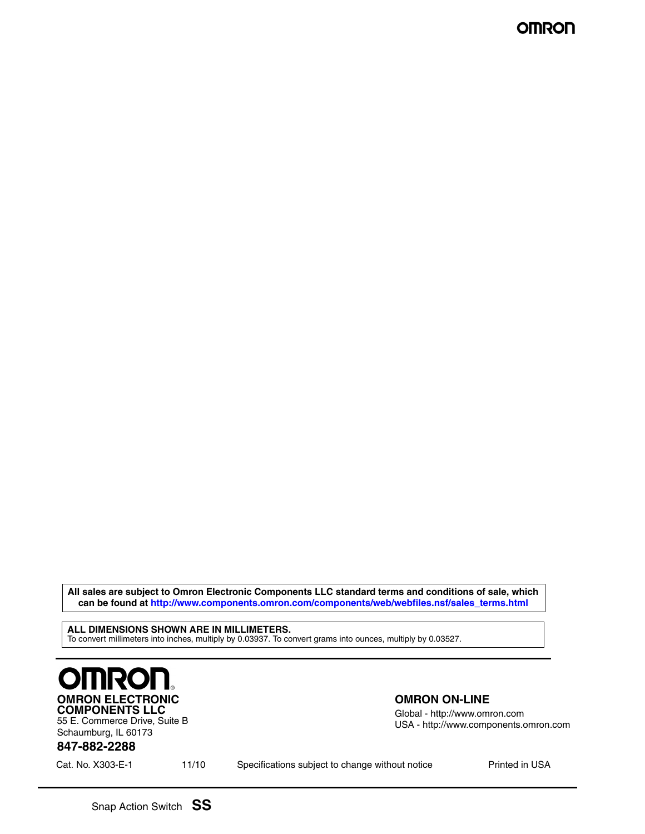**All sales are subject to Omron Electronic Components LLC standard terms and conditions of sale, which can be found at http://www.components.omron.com/components/web/webfiles.nsf/sales\_terms.html**

**ALL DIMENSIONS SHOWN ARE IN MILLIMETERS.** To convert millimeters into inches, multiply by 0.03937. To convert grams into ounces, multiply by 0.03527.



55 E. Commerce Drive, Suite B Schaumburg, IL 60173

### **OMRON ON-LINE**

Global - http://www.omron.com USA - http://www.components.omron.com

### **847-882-2288**

Cat. No. X303-E-1 **Printed in USA** Specifications subject to change without notice **Printed in USA**